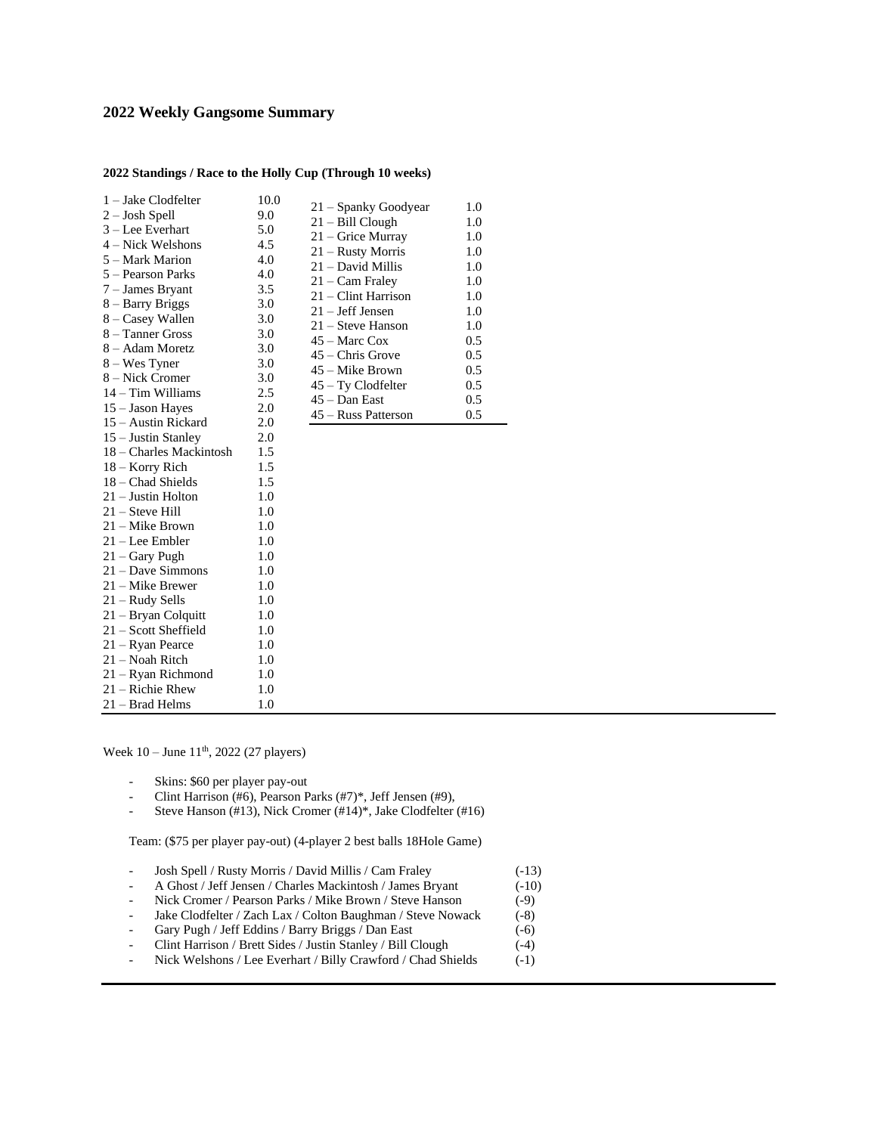## **2022 Weekly Gangsome Summary**

## **2022 Standings / Race to the Holly Cup (Through 10 weeks)**

| $1 -$ Jake Clodfelter   | 10.0 |                      |     |
|-------------------------|------|----------------------|-----|
| $2 -$ Josh Spell        | 9.0  | 21 – Spanky Goodyear | 1.0 |
| $3 - Lee$ Everhart      | 5.0  | $21 - Bill Cloud$    | 1.0 |
| 4 – Nick Welshons       | 4.5  | 21 – Grice Murray    | 1.0 |
| 5 – Mark Marion         | 4.0  | 21 – Rusty Morris    | 1.0 |
| 5 – Pearson Parks       | 4.0  | 21 – David Millis    | 1.0 |
| 7 - James Bryant        | 3.5  | 21 – Cam Fraley      | 1.0 |
| 8 – Barry Briggs        | 3.0  | 21 – Clint Harrison  | 1.0 |
| 8 – Casey Wallen        | 3.0  | 21 – Jeff Jensen     | 1.0 |
| 8 – Tanner Gross        | 3.0  | 21 – Steve Hanson    | 1.0 |
| 8 – Adam Moretz         | 3.0  | 45 – Marc Cox        | 0.5 |
| 8 – Wes Tyner           | 3.0  | 45 – Chris Grove     | 0.5 |
| 8 – Nick Cromer         | 3.0  | 45 – Mike Brown      | 0.5 |
| $14 - Tim$ Williams     | 2.5  | $45 - Ty$ Clodfelter | 0.5 |
| $15 -$ Jason Hayes      | 2.0  | $45 - Dan East$      | 0.5 |
| 15 – Austin Rickard     | 2.0  | 45 – Russ Patterson  | 0.5 |
| 15 – Justin Stanley     | 2.0  |                      |     |
| 18 – Charles Mackintosh | 1.5  |                      |     |
| 18 - Korry Rich         | 1.5  |                      |     |
| $18 -$ Chad Shields     | 1.5  |                      |     |
| 21 – Justin Holton      | 1.0  |                      |     |
| $21 -$ Steve Hill       | 1.0  |                      |     |
| 21 – Mike Brown         | 1.0  |                      |     |
| 21 – Lee Embler         | 1.0  |                      |     |
| $21 -$ Gary Pugh        | 1.0  |                      |     |
| $21 - Dave Simmons$     | 1.0  |                      |     |
| $21 -$ Mike Brewer      | 1.0  |                      |     |
| 21 – Rudy Sells         | 1.0  |                      |     |
| $21 - Bryan Colquit$    | 1.0  |                      |     |
| 21 – Scott Sheffield    | 1.0  |                      |     |
| 21 – Ryan Pearce        | 1.0  |                      |     |
| 21 – Noah Ritch         | 1.0  |                      |     |
| 21 – Ryan Richmond      | 1.0  |                      |     |
| $21 -$ Richie Rhew      | 1.0  |                      |     |
| 21 – Brad Helms         | 1.0  |                      |     |

Week 10 – June 11<sup>th</sup>, 2022 (27 players)

- Skins: \$60 per player pay-out
- Clint Harrison (#6), Pearson Parks (#7)\*, Jeff Jensen (#9),
- Steve Hanson (#13), Nick Cromer (#14)\*, Jake Clodfelter (#16)

Team: (\$75 per player pay-out) (4-player 2 best balls 18Hole Game)

- Josh Spell / Rusty Morris / David Millis / Cam Fraley (-13)
- A Ghost / Jeff Jensen / Charles Mackintosh / James Bryant (-10)
- Nick Cromer / Pearson Parks / Mike Brown / Steve Hanson (-9)
- Jake Clodfelter / Zach Lax / Colton Baughman / Steve Nowack (-8)
- Gary Pugh / Jeff Eddins / Barry Briggs / Dan East (-6)
- Clint Harrison / Brett Sides / Justin Stanley / Bill Clough (-4)
- Nick Welshons / Lee Everhart / Billy Crawford / Chad Shields (-1)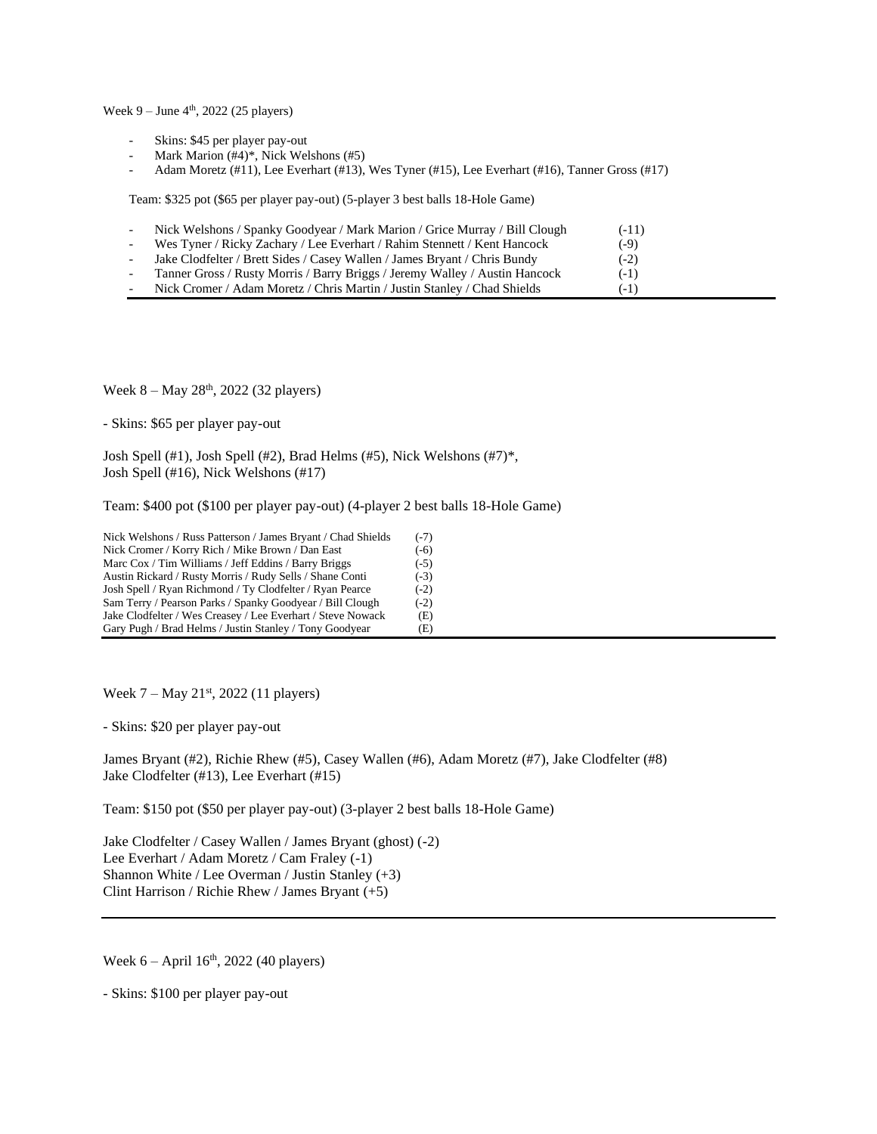Week 9 – June 4<sup>th</sup>, 2022 (25 players)

- Skins: \$45 per player pay-out
- Mark Marion (#4)\*, Nick Welshons (#5)
- Adam Moretz (#11), Lee Everhart (#13), Wes Tyner (#15), Lee Everhart (#16), Tanner Gross (#17)

Team: \$325 pot (\$65 per player pay-out) (5-player 3 best balls 18-Hole Game)

| Nick Welshons / Spanky Goodyear / Mark Marion / Grice Murray / Bill Clough  | $(-11)$ |
|-----------------------------------------------------------------------------|---------|
| Wes Tyner / Ricky Zachary / Lee Everhart / Rahim Stennett / Kent Hancock    | $(-9)$  |
| Jake Clodfelter / Brett Sides / Casey Wallen / James Bryant / Chris Bundy   | $(-2)$  |
| Tanner Gross / Rusty Morris / Barry Briggs / Jeremy Walley / Austin Hancock | $(-1)$  |
| Nick Cromer / Adam Moretz / Chris Martin / Justin Stanley / Chad Shields    | $(-1)$  |

Week 8 – May 28<sup>th</sup>, 2022 (32 players)

- Skins: \$65 per player pay-out

Josh Spell (#1), Josh Spell (#2), Brad Helms (#5), Nick Welshons (#7)\*, Josh Spell (#16), Nick Welshons (#17)

Team: \$400 pot (\$100 per player pay-out) (4-player 2 best balls 18-Hole Game)

| Nick Welshons / Russ Patterson / James Bryant / Chad Shields | $(-7)$ |
|--------------------------------------------------------------|--------|
| Nick Cromer / Korry Rich / Mike Brown / Dan East             | $(-6)$ |
| Marc Cox / Tim Williams / Jeff Eddins / Barry Briggs         | $(-5)$ |
| Austin Rickard / Rusty Morris / Rudy Sells / Shane Conti     | $(-3)$ |
| Josh Spell / Ryan Richmond / Ty Clodfelter / Ryan Pearce     | $(-2)$ |
| Sam Terry / Pearson Parks / Spanky Goodyear / Bill Clough    | $(-2)$ |
| Jake Clodfelter / Wes Creasey / Lee Everhart / Steve Nowack  | (E)    |
| Gary Pugh / Brad Helms / Justin Stanley / Tony Goodyear      | (E)    |

Week  $7 -$  May  $21<sup>st</sup>$ , 2022 (11 players)

- Skins: \$20 per player pay-out

James Bryant (#2), Richie Rhew (#5), Casey Wallen (#6), Adam Moretz (#7), Jake Clodfelter (#8) Jake Clodfelter (#13), Lee Everhart (#15)

Team: \$150 pot (\$50 per player pay-out) (3-player 2 best balls 18-Hole Game)

Jake Clodfelter / Casey Wallen / James Bryant (ghost) (-2) Lee Everhart / Adam Moretz / Cam Fraley (-1) Shannon White / Lee Overman / Justin Stanley (+3) Clint Harrison / Richie Rhew / James Bryant (+5)

Week  $6 -$  April  $16<sup>th</sup>$ , 2022 (40 players)

- Skins: \$100 per player pay-out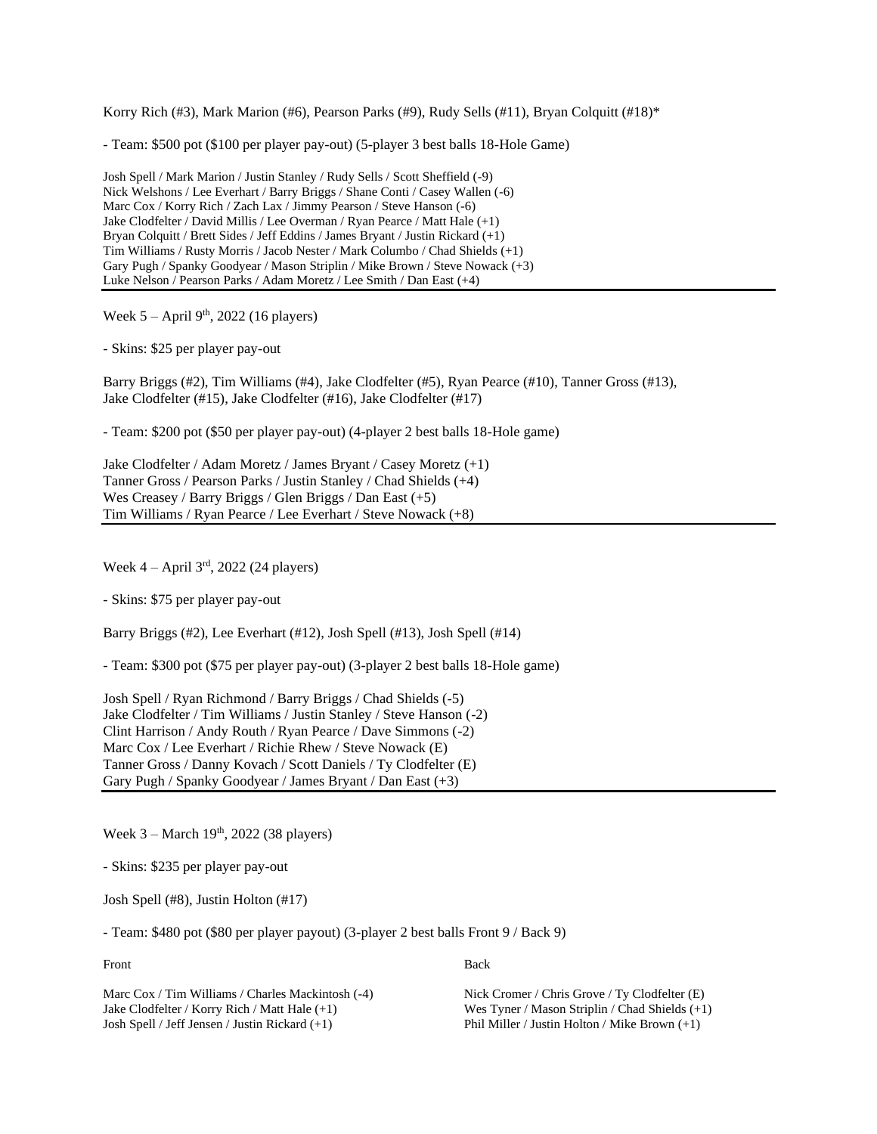Korry Rich (#3), Mark Marion (#6), Pearson Parks (#9), Rudy Sells (#11), Bryan Colquitt (#18)\*

- Team: \$500 pot (\$100 per player pay-out) (5-player 3 best balls 18-Hole Game)

Josh Spell / Mark Marion / Justin Stanley / Rudy Sells / Scott Sheffield (-9) Nick Welshons / Lee Everhart / Barry Briggs / Shane Conti / Casey Wallen (-6) Marc Cox / Korry Rich / Zach Lax / Jimmy Pearson / Steve Hanson (-6) Jake Clodfelter / David Millis / Lee Overman / Ryan Pearce / Matt Hale (+1) Bryan Colquitt / Brett Sides / Jeff Eddins / James Bryant / Justin Rickard (+1) Tim Williams / Rusty Morris / Jacob Nester / Mark Columbo / Chad Shields (+1) Gary Pugh / Spanky Goodyear / Mason Striplin / Mike Brown / Steve Nowack (+3) Luke Nelson / Pearson Parks / Adam Moretz / Lee Smith / Dan East (+4)

Week  $5 -$  April 9<sup>th</sup>, 2022 (16 players)

- Skins: \$25 per player pay-out

Barry Briggs (#2), Tim Williams (#4), Jake Clodfelter (#5), Ryan Pearce (#10), Tanner Gross (#13), Jake Clodfelter (#15), Jake Clodfelter (#16), Jake Clodfelter (#17)

- Team: \$200 pot (\$50 per player pay-out) (4-player 2 best balls 18-Hole game)

Jake Clodfelter / Adam Moretz / James Bryant / Casey Moretz (+1) Tanner Gross / Pearson Parks / Justin Stanley / Chad Shields (+4) Wes Creasey / Barry Briggs / Glen Briggs / Dan East (+5) Tim Williams / Ryan Pearce / Lee Everhart / Steve Nowack (+8)

Week  $4 -$ April  $3<sup>rd</sup>$ , 2022 (24 players)

- Skins: \$75 per player pay-out

Barry Briggs (#2), Lee Everhart (#12), Josh Spell (#13), Josh Spell (#14)

- Team: \$300 pot (\$75 per player pay-out) (3-player 2 best balls 18-Hole game)

Josh Spell / Ryan Richmond / Barry Briggs / Chad Shields (-5) Jake Clodfelter / Tim Williams / Justin Stanley / Steve Hanson (-2) Clint Harrison / Andy Routh / Ryan Pearce / Dave Simmons (-2) Marc Cox / Lee Everhart / Richie Rhew / Steve Nowack (E) Tanner Gross / Danny Kovach / Scott Daniels / Ty Clodfelter (E) Gary Pugh / Spanky Goodyear / James Bryant / Dan East (+3)

Week 3 – March 19<sup>th</sup>, 2022 (38 players)

- Skins: \$235 per player pay-out

Josh Spell (#8), Justin Holton (#17)

- Team: \$480 pot (\$80 per player payout) (3-player 2 best balls Front 9 / Back 9)

Front Back

Marc Cox / Tim Williams / Charles Mackintosh (-4) Nick Cromer / Chris Grove / Ty Clodfelter (E) Jake Clodfelter / Korry Rich / Matt Hale (+1) Wes Tyner / Mason Striplin / Chad Shields (+1) Josh Spell / Jeff Jensen / Justin Rickard (+1) Phil Miller / Justin Holton / Mike Brown (+1)